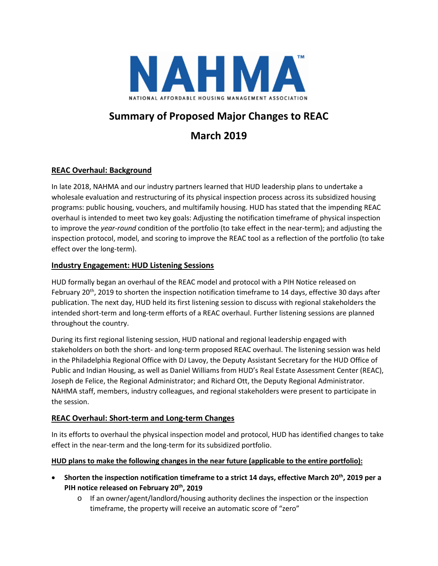

# **Summary of Proposed Major Changes to REAC**

# **March 2019**

# **REAC Overhaul: Background**

In late 2018, NAHMA and our industry partners learned that HUD leadership plans to undertake a wholesale evaluation and restructuring of its physical inspection process across its subsidized housing programs: public housing, vouchers, and multifamily housing. HUD has stated that the impending REAC overhaul is intended to meet two key goals: Adjusting the notification timeframe of physical inspection to improve the *year-round* condition of the portfolio (to take effect in the near-term); and adjusting the inspection protocol, model, and scoring to improve the REAC tool as a reflection of the portfolio (to take effect over the long-term).

# **Industry Engagement: HUD Listening Sessions**

HUD formally began an overhaul of the REAC model and protocol with a PIH Notice released on February 20th, 2019 to shorten the inspection notification timeframe to 14 days, effective 30 days after publication. The next day, HUD held its first listening session to discuss with regional stakeholders the intended short-term and long-term efforts of a REAC overhaul. Further listening sessions are planned throughout the country.

During its first regional listening session, HUD national and regional leadership engaged with stakeholders on both the short- and long-term proposed REAC overhaul. The listening session was held in the Philadelphia Regional Office with DJ Lavoy, the Deputy Assistant Secretary for the HUD Office of Public and Indian Housing, as well as Daniel Williams from HUD's Real Estate Assessment Center (REAC), Joseph de Felice, the Regional Administrator; and Richard Ott, the Deputy Regional Administrator. NAHMA staff, members, industry colleagues, and regional stakeholders were present to participate in the session.

# **REAC Overhaul: Short-term and Long-term Changes**

In its efforts to overhaul the physical inspection model and protocol, HUD has identified changes to take effect in the near-term and the long-term for its subsidized portfolio.

# **HUD plans to make the following changes in the near future (applicable to the entire portfolio):**

- **Shorten the inspection notification timeframe to a strict 14 days, effective March 20th, 2019 per a PIH notice released on February 20th, 2019** 
	- o If an owner/agent/landlord/housing authority declines the inspection or the inspection timeframe, the property will receive an automatic score of "zero"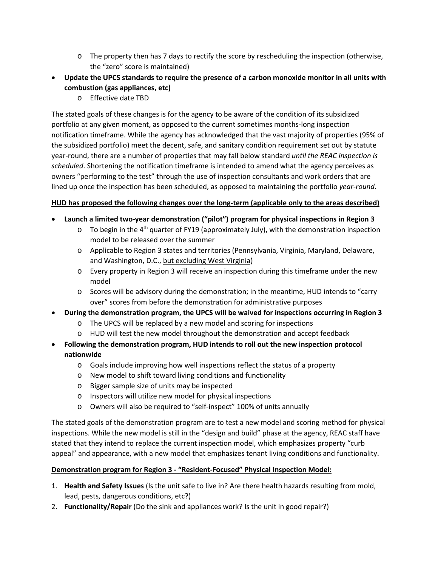- $\circ$  The property then has 7 days to rectify the score by rescheduling the inspection (otherwise, the "zero" score is maintained)
- **Update the UPCS standards to require the presence of a carbon monoxide monitor in all units with combustion (gas appliances, etc)**
	- o Effective date TBD

The stated goals of these changes is for the agency to be aware of the condition of its subsidized portfolio at any given moment, as opposed to the current sometimes months-long inspection notification timeframe. While the agency has acknowledged that the vast majority of properties (95% of the subsidized portfolio) meet the decent, safe, and sanitary condition requirement set out by statute year-round, there are a number of properties that may fall below standard *until the REAC inspection is scheduled*. Shortening the notification timeframe is intended to amend what the agency perceives as owners "performing to the test" through the use of inspection consultants and work orders that are lined up once the inspection has been scheduled, as opposed to maintaining the portfolio *year-round.*

# **HUD has proposed the following changes over the long-term (applicable only to the areas described)**

- **Launch a limited two-year demonstration ("pilot") program for physical inspections in Region 3**
	- $\circ$  To begin in the 4<sup>th</sup> quarter of FY19 (approximately July), with the demonstration inspection model to be released over the summer
	- o Applicable to Region 3 states and territories (Pennsylvania, Virginia, Maryland, Delaware, and Washington, D.C., but excluding West Virginia)
	- o Every property in Region 3 will receive an inspection during this timeframe under the new model
	- $\circ$  Scores will be advisory during the demonstration; in the meantime, HUD intends to "carry over" scores from before the demonstration for administrative purposes
- **During the demonstration program, the UPCS will be waived for inspections occurring in Region 3**
	- o The UPCS will be replaced by a new model and scoring for inspections
	- o HUD will test the new model throughout the demonstration and accept feedback
- **Following the demonstration program, HUD intends to roll out the new inspection protocol nationwide**
	- o Goals include improving how well inspections reflect the status of a property
	- o New model to shift toward living conditions and functionality
	- o Bigger sample size of units may be inspected
	- o Inspectors will utilize new model for physical inspections
	- o Owners will also be required to "self-inspect" 100% of units annually

The stated goals of the demonstration program are to test a new model and scoring method for physical inspections. While the new model is still in the "design and build" phase at the agency, REAC staff have stated that they intend to replace the current inspection model, which emphasizes property "curb appeal" and appearance, with a new model that emphasizes tenant living conditions and functionality.

# **Demonstration program for Region 3 - "Resident-Focused" Physical Inspection Model:**

- 1. **Health and Safety Issues** (Is the unit safe to live in? Are there health hazards resulting from mold, lead, pests, dangerous conditions, etc?)
- 2. **Functionality/Repair** (Do the sink and appliances work? Is the unit in good repair?)